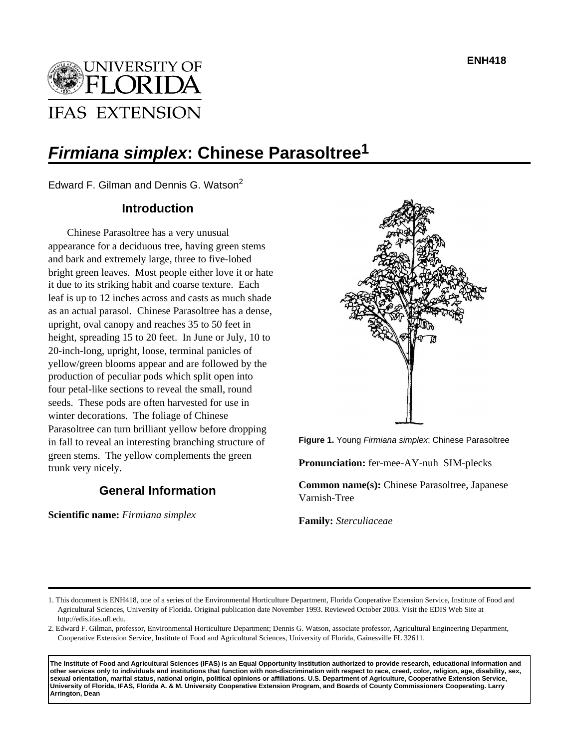**ENH418**



# **Firmiana simplex: Chinese Parasoltree1**

Edward F. Gilman and Dennis G. Watson<sup>2</sup>

# **Introduction**

Chinese Parasoltree has a very unusual appearance for a deciduous tree, having green stems and bark and extremely large, three to five-lobed bright green leaves. Most people either love it or hate it due to its striking habit and coarse texture. Each leaf is up to 12 inches across and casts as much shade as an actual parasol. Chinese Parasoltree has a dense, upright, oval canopy and reaches 35 to 50 feet in height, spreading 15 to 20 feet. In June or July, 10 to 20-inch-long, upright, loose, terminal panicles of yellow/green blooms appear and are followed by the production of peculiar pods which split open into four petal-like sections to reveal the small, round seeds. These pods are often harvested for use in winter decorations. The foliage of Chinese Parasoltree can turn brilliant yellow before dropping in fall to reveal an interesting branching structure of green stems. The yellow complements the green trunk very nicely.

# **General Information**

**Scientific name:** *Firmiana simplex*



**Figure 1.** Young Firmiana simplex: Chinese Parasoltree

**Pronunciation:** fer-mee-AY-nuh SIM-plecks

**Common name(s):** Chinese Parasoltree, Japanese Varnish-Tree

**Family:** *Sterculiaceae*

**The Institute of Food and Agricultural Sciences (IFAS) is an Equal Opportunity Institution authorized to provide research, educational information and other services only to individuals and institutions that function with non-discrimination with respect to race, creed, color, religion, age, disability, sex, sexual orientation, marital status, national origin, political opinions or affiliations. U.S. Department of Agriculture, Cooperative Extension Service, University of Florida, IFAS, Florida A. & M. University Cooperative Extension Program, and Boards of County Commissioners Cooperating. Larry Arrington, Dean**

<sup>1.</sup> This document is ENH418, one of a series of the Environmental Horticulture Department, Florida Cooperative Extension Service, Institute of Food and Agricultural Sciences, University of Florida. Original publication date November 1993. Reviewed October 2003. Visit the EDIS Web Site at http://edis.ifas.ufl.edu.

<sup>2.</sup> Edward F. Gilman, professor, Environmental Horticulture Department; Dennis G. Watson, associate professor, Agricultural Engineering Department, Cooperative Extension Service, Institute of Food and Agricultural Sciences, University of Florida, Gainesville FL 32611.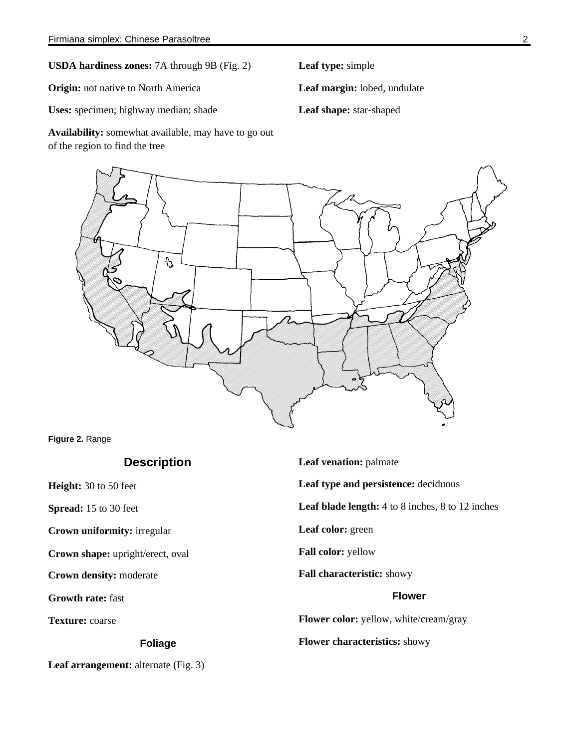**USDA hardiness zones:** 7A through 9B (Fig. 2)

**Origin:** not native to North America

**Uses:** specimen; highway median; shade

**Availability:** somewhat available, may have to go out of the region to find the tree

**Leaf type:** simple

**Leaf margin:** lobed, undulate

**Leaf shape:** star-shaped



**Figure 2.** Range

# **Description**

**Height:** 30 to 50 feet

**Spread:** 15 to 30 feet

**Crown uniformity:** irregular

**Crown shape:** upright/erect, oval

**Crown density:** moderate

**Growth rate:** fast

**Texture:** coarse

## **Foliage**

Leaf arrangement: alternate (Fig. 3)

**Leaf venation:** palmate **Leaf type and persistence:** deciduous **Leaf blade length:** 4 to 8 inches, 8 to 12 inches **Leaf color:** green **Fall color:** yellow **Fall characteristic:** showy **Flower Flower color:** yellow, white/cream/gray **Flower characteristics:** showy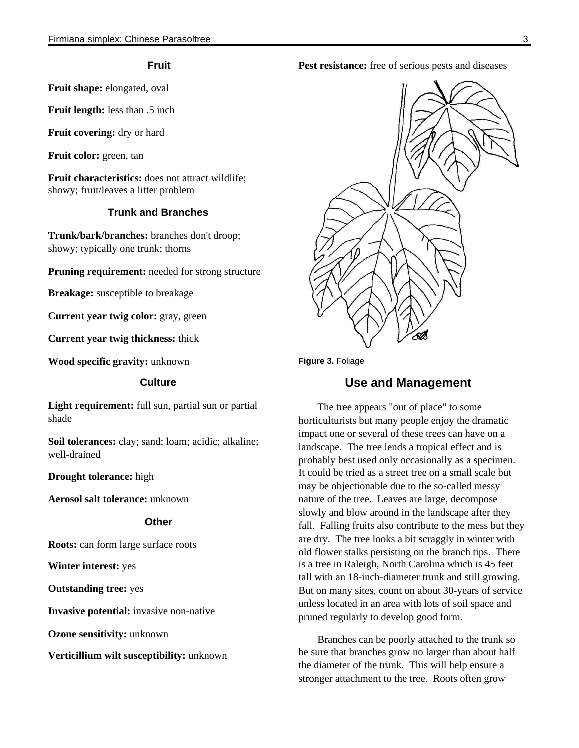## **Fruit**

**Fruit shape:** elongated, oval

**Fruit length:** less than .5 inch

**Fruit covering:** dry or hard

**Fruit color:** green, tan

**Fruit characteristics:** does not attract wildlife; showy; fruit/leaves a litter problem

## **Trunk and Branches**

**Trunk/bark/branches:** branches don't droop; showy; typically one trunk; thorns

**Pruning requirement:** needed for strong structure

**Breakage:** susceptible to breakage

**Current year twig color:** gray, green

**Current year twig thickness:** thick

**Wood specific gravity:** unknown

### **Culture**

Light requirement: full sun, partial sun or partial shade

**Soil tolerances:** clay; sand; loam; acidic; alkaline; well-drained

**Drought tolerance:** high

**Aerosol salt tolerance:** unknown

### **Other**

**Roots:** can form large surface roots

**Winter interest:** yes

**Outstanding tree:** yes

**Invasive potential:** invasive non-native

**Ozone sensitivity:** unknown

**Verticillium wilt susceptibility:** unknown

Pest resistance: free of serious pests and diseases





# **Use and Management**

The tree appears "out of place" to some horticulturists but many people enjoy the dramatic impact one or several of these trees can have on a landscape. The tree lends a tropical effect and is probably best used only occasionally as a specimen. It could be tried as a street tree on a small scale but may be objectionable due to the so-called messy nature of the tree. Leaves are large, decompose slowly and blow around in the landscape after they fall. Falling fruits also contribute to the mess but they are dry. The tree looks a bit scraggly in winter with old flower stalks persisting on the branch tips. There is a tree in Raleigh, North Carolina which is 45 feet tall with an 18-inch-diameter trunk and still growing. But on many sites, count on about 30-years of service unless located in an area with lots of soil space and pruned regularly to develop good form.

Branches can be poorly attached to the trunk so be sure that branches grow no larger than about half the diameter of the trunk. This will help ensure a stronger attachment to the tree. Roots often grow